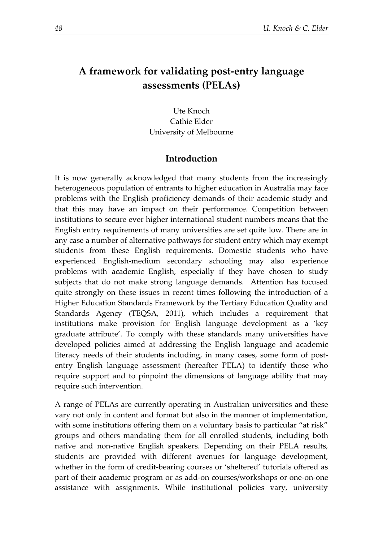# **A framework for validating post-entry language assessments (PELAs)**

Ute Knoch Cathie Elder University of Melbourne

## **Introduction**

It is now generally acknowledged that many students from the increasingly heterogeneous population of entrants to higher education in Australia may face problems with the English proficiency demands of their academic study and that this may have an impact on their performance. Competition between institutions to secure ever higher international student numbers means that the English entry requirements of many universities are set quite low. There are in any case a number of alternative pathways for student entry which may exempt students from these English requirements. Domestic students who have experienced English-medium secondary schooling may also experience problems with academic English, especially if they have chosen to study subjects that do not make strong language demands. Attention has focused quite strongly on these issues in recent times following the introduction of a Higher Education Standards Framework by the Tertiary Education Quality and Standards Agency (TEQSA, 2011), which includes a requirement that institutions make provision for English language development as a 'key graduate attribute'. To comply with these standards many universities have developed policies aimed at addressing the English language and academic literacy needs of their students including, in many cases, some form of postentry English language assessment (hereafter PELA) to identify those who require support and to pinpoint the dimensions of language ability that may require such intervention.

A range of PELAs are currently operating in Australian universities and these vary not only in content and format but also in the manner of implementation, with some institutions offering them on a voluntary basis to particular "at risk" groups and others mandating them for all enrolled students, including both native and non-native English speakers. Depending on their PELA results, students are provided with different avenues for language development, whether in the form of credit-bearing courses or 'sheltered' tutorials offered as part of their academic program or as add-on courses/workshops or one-on-one assistance with assignments. While institutional policies vary, university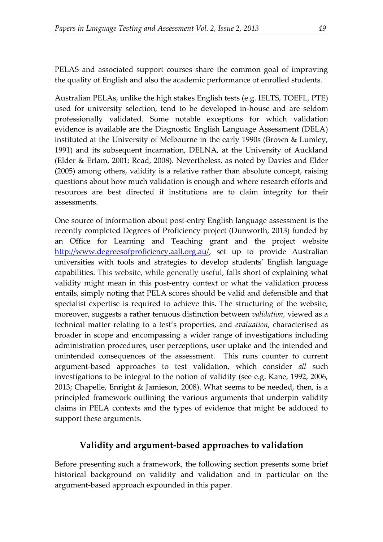PELAS and associated support courses share the common goal of improving the quality of English and also the academic performance of enrolled students.

Australian PELAs, unlike the high stakes English tests (e.g. IELTS, TOEFL, PTE) used for university selection, tend to be developed in-house and are seldom professionally validated. Some notable exceptions for which validation evidence is available are the Diagnostic English Language Assessment (DELA) instituted at the University of Melbourne in the early 1990s (Brown & Lumley, 1991) and its subsequent incarnation, DELNA, at the University of Auckland (Elder & Erlam, 2001; Read, 2008). Nevertheless, as noted by Davies and Elder (2005) among others, validity is a relative rather than absolute concept, raising questions about how much validation is enough and where research efforts and resources are best directed if institutions are to claim integrity for their assessments.

One source of information about post-entry English language assessment is the recently completed Degrees of Proficiency project (Dunworth, 2013) funded by an Office for Learning and Teaching grant and the project website [http://www.degreesofproficiency.aall.org.au/,](http://www.degreesofproficiency.aall.org.au/) set up to provide Australian universities with tools and strategies to develop students' English language capabilities. This website, while generally useful, falls short of explaining what validity might mean in this post-entry context or what the validation process entails, simply noting that PELA scores should be valid and defensible and that specialist expertise is required to achieve this. The structuring of the website, moreover, suggests a rather tenuous distinction between *validation,* viewed as a technical matter relating to a test's properties, and *evaluation*, characterised as broader in scope and encompassing a wider range of investigations including administration procedures, user perceptions, user uptake and the intended and unintended consequences of the assessment. This runs counter to current argument-based approaches to test validation, which consider *all* such investigations to be integral to the notion of validity (see e.g. Kane, 1992, 2006, 2013; Chapelle, Enright & Jamieson, 2008). What seems to be needed, then, is a principled framework outlining the various arguments that underpin validity claims in PELA contexts and the types of evidence that might be adduced to support these arguments.

## **Validity and argument-based approaches to validation**

Before presenting such a framework, the following section presents some brief historical background on validity and validation and in particular on the argument-based approach expounded in this paper.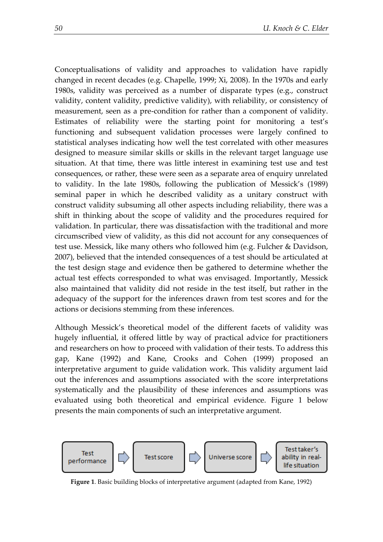Conceptualisations of validity and approaches to validation have rapidly changed in recent decades (e.g. Chapelle, 1999; Xi, 2008). In the 1970s and early 1980s, validity was perceived as a number of disparate types (e.g., construct validity, content validity, predictive validity), with reliability, or consistency of measurement, seen as a pre-condition for rather than a component of validity. Estimates of reliability were the starting point for monitoring a test's functioning and subsequent validation processes were largely confined to statistical analyses indicating how well the test correlated with other measures designed to measure similar skills or skills in the relevant target language use situation. At that time, there was little interest in examining test use and test consequences, or rather, these were seen as a separate area of enquiry unrelated to validity. In the late 1980s, following the publication of Messick's (1989) seminal paper in which he described validity as a unitary construct with construct validity subsuming all other aspects including reliability, there was a shift in thinking about the scope of validity and the procedures required for validation. In particular, there was dissatisfaction with the traditional and more circumscribed view of validity, as this did not account for any consequences of test use. Messick, like many others who followed him (e.g. Fulcher & Davidson, 2007), believed that the intended consequences of a test should be articulated at the test design stage and evidence then be gathered to determine whether the actual test effects corresponded to what was envisaged. Importantly, Messick also maintained that validity did not reside in the test itself, but rather in the adequacy of the support for the inferences drawn from test scores and for the actions or decisions stemming from these inferences.

Although Messick's theoretical model of the different facets of validity was hugely influential, it offered little by way of practical advice for practitioners and researchers on how to proceed with validation of their tests. To address this gap, Kane (1992) and Kane, Crooks and Cohen (1999) proposed an interpretative argument to guide validation work. This validity argument laid out the inferences and assumptions associated with the score interpretations systematically and the plausibility of these inferences and assumptions was evaluated using both theoretical and empirical evidence. Figure 1 below presents the main components of such an interpretative argument.



**Figure 1**. Basic building blocks of interpretative argument (adapted from Kane, 1992)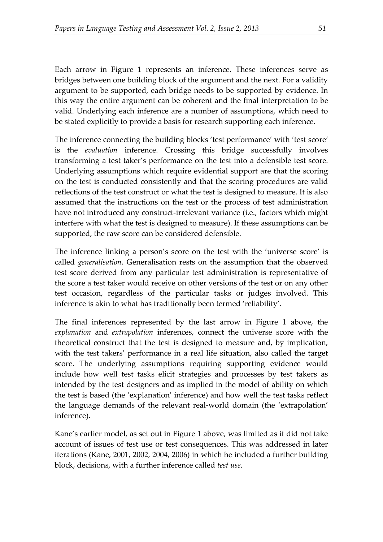Each arrow in Figure 1 represents an inference. These inferences serve as bridges between one building block of the argument and the next. For a validity argument to be supported, each bridge needs to be supported by evidence. In this way the entire argument can be coherent and the final interpretation to be valid. Underlying each inference are a number of assumptions, which need to be stated explicitly to provide a basis for research supporting each inference.

The inference connecting the building blocks 'test performance' with 'test score' is the *evaluation* inference. Crossing this bridge successfully involves transforming a test taker's performance on the test into a defensible test score. Underlying assumptions which require evidential support are that the scoring on the test is conducted consistently and that the scoring procedures are valid reflections of the test construct or what the test is designed to measure. It is also assumed that the instructions on the test or the process of test administration have not introduced any construct-irrelevant variance (i.e., factors which might interfere with what the test is designed to measure). If these assumptions can be supported, the raw score can be considered defensible.

The inference linking a person's score on the test with the 'universe score' is called *generalisation*. Generalisation rests on the assumption that the observed test score derived from any particular test administration is representative of the score a test taker would receive on other versions of the test or on any other test occasion, regardless of the particular tasks or judges involved. This inference is akin to what has traditionally been termed 'reliability'.

The final inferences represented by the last arrow in Figure 1 above, the *explanation* and *extrapolation* inferences, connect the universe score with the theoretical construct that the test is designed to measure and, by implication, with the test takers' performance in a real life situation, also called the target score. The underlying assumptions requiring supporting evidence would include how well test tasks elicit strategies and processes by test takers as intended by the test designers and as implied in the model of ability on which the test is based (the 'explanation' inference) and how well the test tasks reflect the language demands of the relevant real-world domain (the 'extrapolation' inference).

Kane's earlier model, as set out in Figure 1 above, was limited as it did not take account of issues of test use or test consequences. This was addressed in later iterations (Kane, 2001, 2002, 2004, 2006) in which he included a further building block, decisions, with a further inference called *test use*.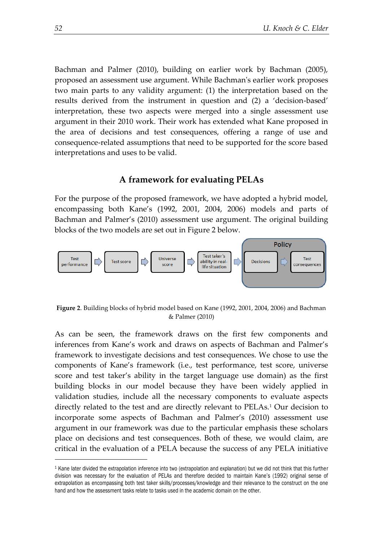Bachman and Palmer (2010), building on earlier work by Bachman (2005), proposed an assessment use argument. While Bachman's earlier work proposes two main parts to any validity argument: (1) the interpretation based on the results derived from the instrument in question and (2) a 'decision-based' interpretation, these two aspects were merged into a single assessment use argument in their 2010 work. Their work has extended what Kane proposed in the area of decisions and test consequences, offering a range of use and consequence-related assumptions that need to be supported for the score based interpretations and uses to be valid.

## **A framework for evaluating PELAs**

For the purpose of the proposed framework, we have adopted a hybrid model, encompassing both Kane's (1992, 2001, 2004, 2006) models and parts of Bachman and Palmer's (2010) assessment use argument. The original building blocks of the two models are set out in Figure 2 below.



**Figure 2**. Building blocks of hybrid model based on Kane (1992, 2001, 2004, 2006) and Bachman & Palmer (2010)

As can be seen, the framework draws on the first few components and inferences from Kane's work and draws on aspects of Bachman and Palmer's framework to investigate decisions and test consequences. We chose to use the components of Kane's framework (i.e., test performance, test score, universe score and test taker's ability in the target language use domain) as the first building blocks in our model because they have been widely applied in validation studies, include all the necessary components to evaluate aspects directly related to the test and are directly relevant to PELAs.<sup>1</sup> Our decision to incorporate some aspects of Bachman and Palmer's (2010) assessment use argument in our framework was due to the particular emphasis these scholars place on decisions and test consequences. Both of these, we would claim, are critical in the evaluation of a PELA because the success of any PELA initiative

1

<sup>1</sup> Kane later divided the extrapolation inference into two (extrapolation and explanation) but we did not think that this further division was necessary for the evaluation of PELAs and therefore decided to maintain Kane's (1992) original sense of extrapolation as encompassing both test taker skills/processes/knowledge and their relevance to the construct on the one hand and how the assessment tasks relate to tasks used in the academic domain on the other.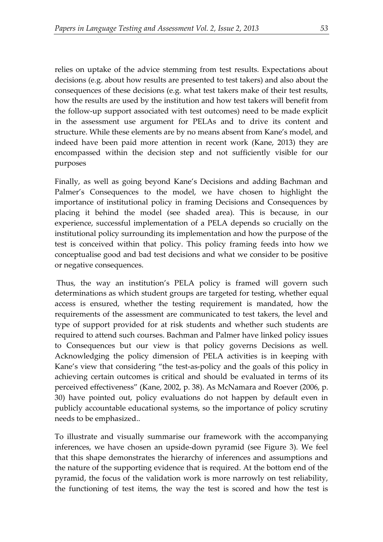relies on uptake of the advice stemming from test results. Expectations about decisions (e.g. about how results are presented to test takers) and also about the consequences of these decisions (e.g. what test takers make of their test results, how the results are used by the institution and how test takers will benefit from the follow-up support associated with test outcomes) need to be made explicit in the assessment use argument for PELAs and to drive its content and structure. While these elements are by no means absent from Kane's model, and indeed have been paid more attention in recent work (Kane, 2013) they are encompassed within the decision step and not sufficiently visible for our purposes

Finally, as well as going beyond Kane's Decisions and adding Bachman and Palmer's Consequences to the model, we have chosen to highlight the importance of institutional policy in framing Decisions and Consequences by placing it behind the model (see shaded area). This is because, in our experience, successful implementation of a PELA depends so crucially on the institutional policy surrounding its implementation and how the purpose of the test is conceived within that policy. This policy framing feeds into how we conceptualise good and bad test decisions and what we consider to be positive or negative consequences.

Thus, the way an institution's PELA policy is framed will govern such determinations as which student groups are targeted for testing, whether equal access is ensured, whether the testing requirement is mandated, how the requirements of the assessment are communicated to test takers, the level and type of support provided for at risk students and whether such students are required to attend such courses. Bachman and Palmer have linked policy issues to Consequences but our view is that policy governs Decisions as well. Acknowledging the policy dimension of PELA activities is in keeping with Kane's view that considering "the test-as-policy and the goals of this policy in achieving certain outcomes is critical and should be evaluated in terms of its perceived effectiveness" (Kane, 2002, p. 38). As McNamara and Roever (2006, p. 30) have pointed out, policy evaluations do not happen by default even in publicly accountable educational systems, so the importance of policy scrutiny needs to be emphasized..

To illustrate and visually summarise our framework with the accompanying inferences, we have chosen an upside-down pyramid (see Figure 3). We feel that this shape demonstrates the hierarchy of inferences and assumptions and the nature of the supporting evidence that is required. At the bottom end of the pyramid, the focus of the validation work is more narrowly on test reliability, the functioning of test items, the way the test is scored and how the test is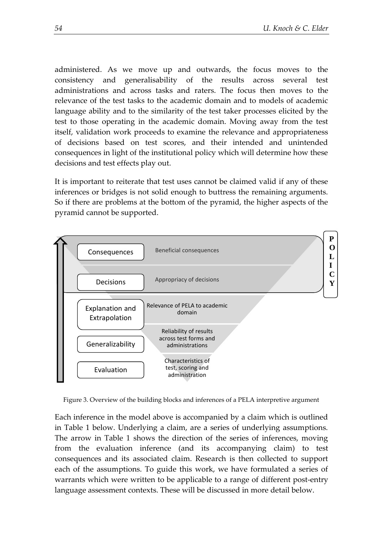administered. As we move up and outwards, the focus moves to the consistency and generalisability of the results across several test administrations and across tasks and raters. The focus then moves to the relevance of the test tasks to the academic domain and to models of academic language ability and to the similarity of the test taker processes elicited by the test to those operating in the academic domain. Moving away from the test itself, validation work proceeds to examine the relevance and appropriateness of decisions based on test scores, and their intended and unintended consequences in light of the institutional policy which will determine how these decisions and test effects play out.

It is important to reiterate that test uses cannot be claimed valid if any of these inferences or bridges is not solid enough to buttress the remaining arguments. So if there are problems at the bottom of the pyramid, the higher aspects of the pyramid cannot be supported.



Figure 3. Overview of the building blocks and inferences of a PELA interpretive argument

Each inference in the model above is accompanied by a claim which is outlined in Table 1 below. Underlying a claim, are a series of underlying assumptions. The arrow in Table 1 shows the direction of the series of inferences, moving from the evaluation inference (and its accompanying claim) to test consequences and its associated claim. Research is then collected to support each of the assumptions. To guide this work, we have formulated a series of warrants which were written to be applicable to a range of different post-entry language assessment contexts. These will be discussed in more detail below.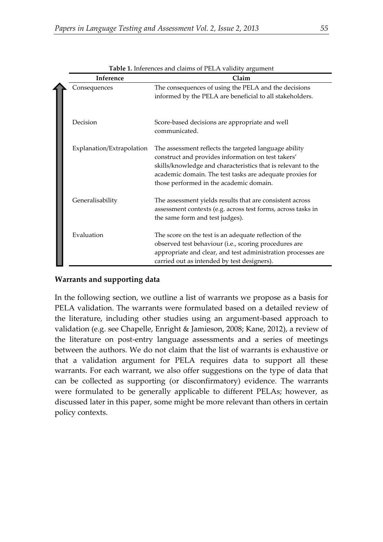| Inference                 | Claim                                                                                                                                                                                                                                                                              |
|---------------------------|------------------------------------------------------------------------------------------------------------------------------------------------------------------------------------------------------------------------------------------------------------------------------------|
| Consequences              | The consequences of using the PELA and the decisions<br>informed by the PELA are beneficial to all stakeholders.                                                                                                                                                                   |
| Decision                  | Score-based decisions are appropriate and well<br>communicated.                                                                                                                                                                                                                    |
| Explanation/Extrapolation | The assessment reflects the targeted language ability<br>construct and provides information on test takers'<br>skills/knowledge and characteristics that is relevant to the<br>academic domain. The test tasks are adequate proxies for<br>those performed in the academic domain. |
| Generalisability          | The assessment yields results that are consistent across<br>assessment contexts (e.g. across test forms, across tasks in<br>the same form and test judges).                                                                                                                        |
| Evaluation                | The score on the test is an adequate reflection of the<br>observed test behaviour (i.e., scoring procedures are<br>appropriate and clear, and test administration processes are<br>carried out as intended by test designers).                                                     |

**Table 1.** Inferences and claims of PELA validity argument

## **Warrants and supporting data**

In the following section, we outline a list of warrants we propose as a basis for PELA validation. The warrants were formulated based on a detailed review of the literature, including other studies using an argument-based approach to validation (e.g. see Chapelle, Enright & Jamieson, 2008; Kane, 2012), a review of the literature on post-entry language assessments and a series of meetings between the authors. We do not claim that the list of warrants is exhaustive or that a validation argument for PELA requires data to support all these warrants. For each warrant, we also offer suggestions on the type of data that can be collected as supporting (or disconfirmatory) evidence. The warrants were formulated to be generally applicable to different PELAs; however, as discussed later in this paper, some might be more relevant than others in certain policy contexts.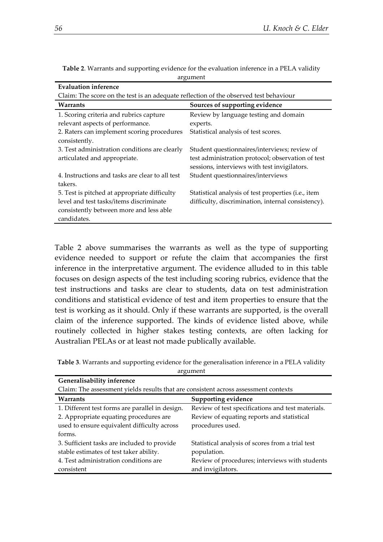| Evaluation inference                                                                  |                                                                                                   |  |
|---------------------------------------------------------------------------------------|---------------------------------------------------------------------------------------------------|--|
| Claim: The score on the test is an adequate reflection of the observed test behaviour |                                                                                                   |  |
| Warrants                                                                              | Sources of supporting evidence                                                                    |  |
| 1. Scoring criteria and rubrics capture                                               | Review by language testing and domain                                                             |  |
| relevant aspects of performance.                                                      | experts.                                                                                          |  |
| 2. Raters can implement scoring procedures                                            | Statistical analysis of test scores.                                                              |  |
| consistently.                                                                         |                                                                                                   |  |
| 3. Test administration conditions are clearly                                         | Student questionnaires/interviews; review of                                                      |  |
| articulated and appropriate.                                                          | test administration protocol; observation of test<br>sessions, interviews with test invigilators. |  |
| 4. Instructions and tasks are clear to all test                                       | Student questionnaires/interviews                                                                 |  |
| takers.                                                                               |                                                                                                   |  |
| 5. Test is pitched at appropriate difficulty                                          | Statistical analysis of test properties (i.e., item                                               |  |
| level and test tasks/items discriminate                                               | difficulty, discrimination, internal consistency).                                                |  |
| consistently between more and less able                                               |                                                                                                   |  |
| candidates.                                                                           |                                                                                                   |  |

**Table 2**. Warrants and supporting evidence for the evaluation inference in a PELA validity argument

Table 2 above summarises the warrants as well as the type of supporting evidence needed to support or refute the claim that accompanies the first inference in the interpretative argument. The evidence alluded to in this table focuses on design aspects of the test including scoring rubrics, evidence that the test instructions and tasks are clear to students, data on test administration conditions and statistical evidence of test and item properties to ensure that the test is working as it should. Only if these warrants are supported, is the overall claim of the inference supported. The kinds of evidence listed above, while routinely collected in higher stakes testing contexts, are often lacking for Australian PELAs or at least not made publically available.

| Table 3. Warrants and supporting evidence for the generalisation inference in a PELA validity |  |
|-----------------------------------------------------------------------------------------------|--|
|-----------------------------------------------------------------------------------------------|--|

| argument                                                                            |                                                   |  |
|-------------------------------------------------------------------------------------|---------------------------------------------------|--|
| Generalisability inference                                                          |                                                   |  |
| Claim: The assessment yields results that are consistent across assessment contexts |                                                   |  |
| Warrants                                                                            | Supporting evidence                               |  |
| 1. Different test forms are parallel in design.                                     | Review of test specifications and test materials. |  |
| 2. Appropriate equating procedures are                                              | Review of equating reports and statistical        |  |
| used to ensure equivalent difficulty across                                         | procedures used.                                  |  |
| forms.                                                                              |                                                   |  |
| 3. Sufficient tasks are included to provide                                         | Statistical analysis of scores from a trial test  |  |
| stable estimates of test taker ability.                                             | population.                                       |  |
| 4. Test administration conditions are                                               | Review of procedures; interviews with students    |  |
| consistent                                                                          | and invigilators.                                 |  |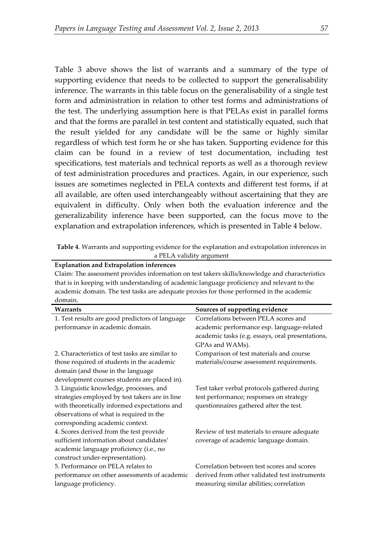Table 3 above shows the list of warrants and a summary of the type of supporting evidence that needs to be collected to support the generalisability inference. The warrants in this table focus on the generalisability of a single test form and administration in relation to other test forms and administrations of the test. The underlying assumption here is that PELAs exist in parallel forms and that the forms are parallel in test content and statistically equated, such that the result yielded for any candidate will be the same or highly similar regardless of which test form he or she has taken. Supporting evidence for this claim can be found in a review of test documentation, including test specifications, test materials and technical reports as well as a thorough review of test administration procedures and practices. Again, in our experience, such issues are sometimes neglected in PELA contexts and different test forms, if at all available, are often used interchangeably without ascertaining that they are equivalent in difficulty. Only when both the evaluation inference and the generalizability inference have been supported, can the focus move to the explanation and extrapolation inferences, which is presented in Table 4 below.

**Table 4**. Warrants and supporting evidence for the explanation and extrapolation inferences in a PELA validity argument

**Explanation and Extrapolation inferences**

| Claim: The assessment provides information on test takers skills/knowledge and characteristics |                                |
|------------------------------------------------------------------------------------------------|--------------------------------|
| that is in keeping with understanding of academic language proficiency and relevant to the     |                                |
| academic domain. The test tasks are adequate proxies for those performed in the academic       |                                |
| domain.                                                                                        |                                |
| Warrants                                                                                       | Sources of supporting evidence |
|                                                                                                |                                |

|                                                 | sources of supporting evidence                   |
|-------------------------------------------------|--------------------------------------------------|
| 1. Test results are good predictors of language | Correlations between PELA scores and             |
| performance in academic domain.                 | academic performance esp. language-related       |
|                                                 | academic tasks (e.g. essays, oral presentations, |
|                                                 | GPAs and WAMs).                                  |
| 2. Characteristics of test tasks are similar to | Comparison of test materials and course          |
| those required of students in the academic      | materials/course assessment requirements.        |
| domain (and those in the language               |                                                  |
| development courses students are placed in).    |                                                  |
| 3. Linguistic knowledge, processes, and         | Test taker verbal protocols gathered during      |
| strategies employed by test takers are in line  | test performance; responses on strategy          |
| with theoretically informed expectations and    | questionnaires gathered after the test.          |
| observations of what is required in the         |                                                  |
| corresponding academic context.                 |                                                  |
| 4. Scores derived from the test provide         | Review of test materials to ensure adequate      |
| sufficient information about candidates'        | coverage of academic language domain.            |
| academic language proficiency (i.e., no         |                                                  |
| construct under-representation).                |                                                  |
| 5. Performance on PELA relates to               | Correlation between test scores and scores       |
| performance on other assessments of academic    | derived from other validated test instruments    |
| language proficiency.                           | measuring similar abilities; correlation         |
|                                                 |                                                  |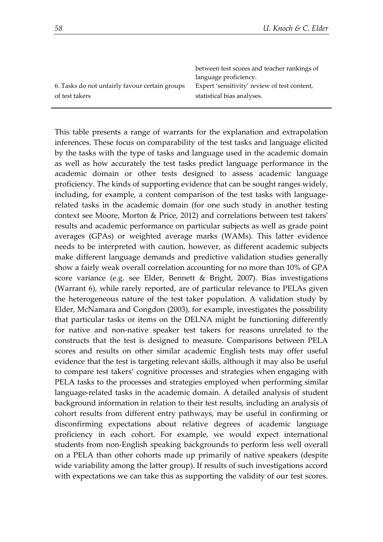|                                                | between test scores and teacher rankings of  |
|------------------------------------------------|----------------------------------------------|
|                                                | language proficiency.                        |
| 6. Tasks do not unfairly favour certain groups | Expert 'sensitivity' review of test content, |
| of test takers                                 | statistical bias analyses.                   |
|                                                |                                              |

This table presents a range of warrants for the explanation and extrapolation inferences. These focus on comparability of the test tasks and language elicited by the tasks with the type of tasks and language used in the academic domain as well as how accurately the test tasks predict language performance in the academic domain or other tests designed to assess academic language proficiency. The kinds of supporting evidence that can be sought ranges widely, including, for example, a content comparison of the test tasks with languagerelated tasks in the academic domain (for one such study in another testing context see Moore, Morton & Price, 2012) and correlations between test takers' results and academic performance on particular subjects as well as grade point averages (GPAs) or weighted average marks (WAMs). This latter evidence needs to be interpreted with caution, however, as different academic subjects make different language demands and predictive validation studies generally show a fairly weak overall correlation accounting for no more than 10% of GPA score variance (e.g. see Elder, Bennett & Bright, 2007). Bias investigations (Warrant 6), while rarely reported, are of particular relevance to PELAs given the heterogeneous nature of the test taker population. A validation study by Elder, McNamara and Congdon (2003), for example, investigates the possibility that particular tasks or items on the DELNA might be functioning differently for native and non-native speaker test takers for reasons unrelated to the constructs that the test is designed to measure. Comparisons between PELA scores and results on other similar academic English tests may offer useful evidence that the test is targeting relevant skills, although it may also be useful to compare test takers' cognitive processes and strategies when engaging with PELA tasks to the processes and strategies employed when performing similar language-related tasks in the academic domain. A detailed analysis of student background information in relation to their test results, including an analysis of cohort results from different entry pathways, may be useful in confirming or disconfirming expectations about relative degrees of academic language proficiency in each cohort. For example, we would expect international students from non-English speaking backgrounds to perform less well overall on a PELA than other cohorts made up primarily of native speakers (despite wide variability among the latter group). If results of such investigations accord with expectations we can take this as supporting the validity of our test scores.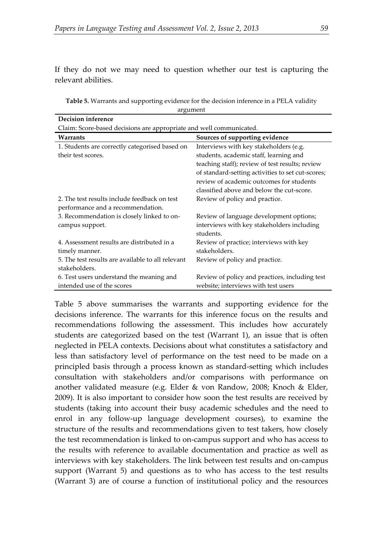If they do not we may need to question whether our test is capturing the relevant abilities.

**Table 5.** Warrants and supporting evidence for the decision inference in a PELA validity argument

| Decision inference                                                  |                                                   |  |
|---------------------------------------------------------------------|---------------------------------------------------|--|
| Claim: Score-based decisions are appropriate and well communicated. |                                                   |  |
| Warrants                                                            | Sources of supporting evidence                    |  |
| 1. Students are correctly categorised based on                      | Interviews with key stakeholders (e.g.            |  |
| their test scores.                                                  | students, academic staff, learning and            |  |
|                                                                     | teaching staff); review of test results; review   |  |
|                                                                     | of standard-setting activities to set cut-scores; |  |
|                                                                     | review of academic outcomes for students          |  |
|                                                                     | classified above and below the cut-score.         |  |
| 2. The test results include feedback on test                        | Review of policy and practice.                    |  |
| performance and a recommendation.                                   |                                                   |  |
| 3. Recommendation is closely linked to on-                          | Review of language development options;           |  |
| campus support.                                                     | interviews with key stakeholders including        |  |
|                                                                     | students.                                         |  |
| 4. Assessment results are distributed in a                          | Review of practice; interviews with key           |  |
| timely manner.                                                      | stakeholders.                                     |  |
| 5. The test results are available to all relevant                   | Review of policy and practice.                    |  |
| stakeholders.                                                       |                                                   |  |
| 6. Test users understand the meaning and                            | Review of policy and practices, including test    |  |
| intended use of the scores                                          | website; interviews with test users               |  |

Table 5 above summarises the warrants and supporting evidence for the decisions inference. The warrants for this inference focus on the results and recommendations following the assessment. This includes how accurately students are categorized based on the test (Warrant 1), an issue that is often neglected in PELA contexts. Decisions about what constitutes a satisfactory and less than satisfactory level of performance on the test need to be made on a principled basis through a process known as standard-setting which includes consultation with stakeholders and/or comparisons with performance on another validated measure (e.g. Elder & von Randow, 2008; Knoch & Elder, 2009). It is also important to consider how soon the test results are received by students (taking into account their busy academic schedules and the need to enrol in any follow-up language development courses), to examine the structure of the results and recommendations given to test takers, how closely the test recommendation is linked to on-campus support and who has access to the results with reference to available documentation and practice as well as interviews with key stakeholders. The link between test results and on-campus support (Warrant 5) and questions as to who has access to the test results (Warrant 3) are of course a function of institutional policy and the resources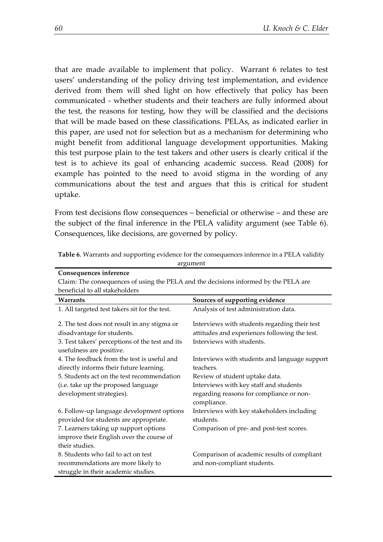that are made available to implement that policy. Warrant 6 relates to test users' understanding of the policy driving test implementation, and evidence derived from them will shed light on how effectively that policy has been communicated - whether students and their teachers are fully informed about the test, the reasons for testing, how they will be classified and the decisions that will be made based on these classifications. PELAs, as indicated earlier in this paper, are used not for selection but as a mechanism for determining who might benefit from additional language development opportunities. Making this test purpose plain to the test takers and other users is clearly critical if the test is to achieve its goal of enhancing academic success. Read (2008) for example has pointed to the need to avoid stigma in the wording of any communications about the test and argues that this is critical for student uptake.

From test decisions flow consequences – beneficial or otherwise – and these are the subject of the final inference in the PELA validity argument (see Table 6). Consequences, like decisions, are governed by policy.

| Claim: The consequences of using the PELA and the decisions informed by the PELA are |                                                         |  |
|--------------------------------------------------------------------------------------|---------------------------------------------------------|--|
| beneficial to all stakeholders                                                       |                                                         |  |
| Warrants                                                                             | Sources of supporting evidence                          |  |
| 1. All targeted test takers sit for the test.                                        | Analysis of test administration data.                   |  |
| 2. The test does not result in any stigma or                                         | Interviews with students regarding their test           |  |
| disadvantage for students.                                                           | attitudes and experiences following the test.           |  |
| 3. Test takers' perceptions of the test and its                                      | Interviews with students.                               |  |
| usefulness are positive.                                                             |                                                         |  |
| 4. The feedback from the test is useful and                                          | Interviews with students and language support           |  |
| directly informs their future learning.                                              | teachers.                                               |  |
| 5. Students act on the test recommendation                                           | Review of student uptake data.                          |  |
| (i.e. take up the proposed language                                                  | Interviews with key staff and students                  |  |
| development strategies).                                                             | regarding reasons for compliance or non-<br>compliance. |  |
| 6. Follow-up language development options                                            | Interviews with key stakeholders including              |  |
| provided for students are appropriate.                                               | students.                                               |  |
| 7. Learners taking up support options                                                | Comparison of pre- and post-test scores.                |  |
| improve their English over the course of                                             |                                                         |  |
| their studies.                                                                       |                                                         |  |
| 8. Students who fail to act on test                                                  | Comparison of academic results of compliant             |  |
| recommendations are more likely to                                                   | and non-compliant students.                             |  |
| struggle in their academic studies.                                                  |                                                         |  |
|                                                                                      |                                                         |  |

**Table 6**. Warrants and supporting evidence for the consequences inference in a PELA validity argument

**Consequences inference**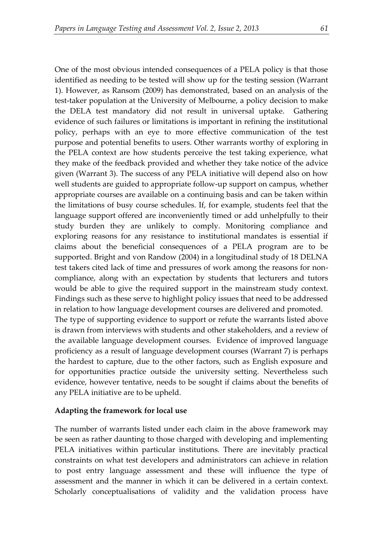One of the most obvious intended consequences of a PELA policy is that those identified as needing to be tested will show up for the testing session (Warrant 1). However, as Ransom (2009) has demonstrated, based on an analysis of the test-taker population at the University of Melbourne, a policy decision to make the DELA test mandatory did not result in universal uptake. Gathering evidence of such failures or limitations is important in refining the institutional policy, perhaps with an eye to more effective communication of the test purpose and potential benefits to users. Other warrants worthy of exploring in the PELA context are how students perceive the test taking experience, what they make of the feedback provided and whether they take notice of the advice given (Warrant 3). The success of any PELA initiative will depend also on how well students are guided to appropriate follow-up support on campus, whether appropriate courses are available on a continuing basis and can be taken within the limitations of busy course schedules. If, for example, students feel that the language support offered are inconveniently timed or add unhelpfully to their study burden they are unlikely to comply. Monitoring compliance and exploring reasons for any resistance to institutional mandates is essential if claims about the beneficial consequences of a PELA program are to be supported. Bright and von Randow (2004) in a longitudinal study of 18 DELNA test takers cited lack of time and pressures of work among the reasons for noncompliance, along with an expectation by students that lecturers and tutors would be able to give the required support in the mainstream study context. Findings such as these serve to highlight policy issues that need to be addressed in relation to how language development courses are delivered and promoted. The type of supporting evidence to support or refute the warrants listed above is drawn from interviews with students and other stakeholders, and a review of the available language development courses. Evidence of improved language proficiency as a result of language development courses (Warrant 7) is perhaps the hardest to capture, due to the other factors, such as English exposure and for opportunities practice outside the university setting. Nevertheless such

#### **Adapting the framework for local use**

any PELA initiative are to be upheld.

The number of warrants listed under each claim in the above framework may be seen as rather daunting to those charged with developing and implementing PELA initiatives within particular institutions. There are inevitably practical constraints on what test developers and administrators can achieve in relation to post entry language assessment and these will influence the type of assessment and the manner in which it can be delivered in a certain context. Scholarly conceptualisations of validity and the validation process have

evidence, however tentative, needs to be sought if claims about the benefits of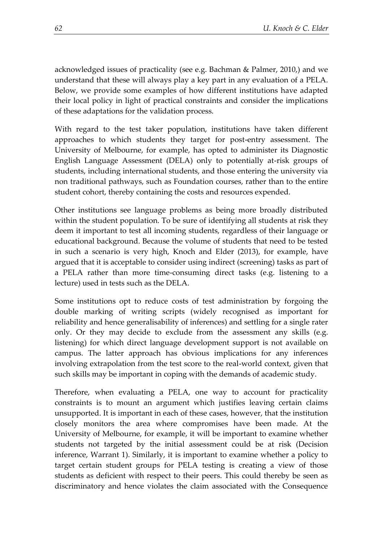acknowledged issues of practicality (see e.g. Bachman & Palmer, 2010,) and we understand that these will always play a key part in any evaluation of a PELA. Below, we provide some examples of how different institutions have adapted their local policy in light of practical constraints and consider the implications of these adaptations for the validation process.

With regard to the test taker population, institutions have taken different approaches to which students they target for post-entry assessment. The University of Melbourne, for example, has opted to administer its Diagnostic English Language Assessment (DELA) only to potentially at-risk groups of students, including international students, and those entering the university via non traditional pathways, such as Foundation courses, rather than to the entire student cohort, thereby containing the costs and resources expended.

Other institutions see language problems as being more broadly distributed within the student population. To be sure of identifying all students at risk they deem it important to test all incoming students, regardless of their language or educational background. Because the volume of students that need to be tested in such a scenario is very high, Knoch and Elder (2013), for example, have argued that it is acceptable to consider using indirect (screening) tasks as part of a PELA rather than more time-consuming direct tasks (e.g. listening to a lecture) used in tests such as the DELA.

Some institutions opt to reduce costs of test administration by forgoing the double marking of writing scripts (widely recognised as important for reliability and hence generalisability of inferences) and settling for a single rater only. Or they may decide to exclude from the assessment any skills (e.g. listening) for which direct language development support is not available on campus. The latter approach has obvious implications for any inferences involving extrapolation from the test score to the real-world context, given that such skills may be important in coping with the demands of academic study.

Therefore, when evaluating a PELA, one way to account for practicality constraints is to mount an argument which justifies leaving certain claims unsupported. It is important in each of these cases, however, that the institution closely monitors the area where compromises have been made. At the University of Melbourne, for example, it will be important to examine whether students not targeted by the initial assessment could be at risk (Decision inference, Warrant 1). Similarly, it is important to examine whether a policy to target certain student groups for PELA testing is creating a view of those students as deficient with respect to their peers. This could thereby be seen as discriminatory and hence violates the claim associated with the Consequence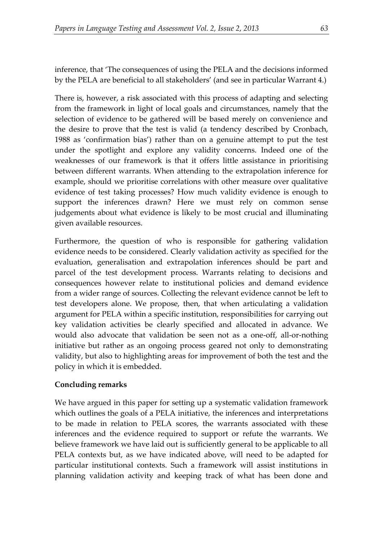inference, that 'The consequences of using the PELA and the decisions informed by the PELA are beneficial to all stakeholders' (and see in particular Warrant 4.)

There is, however, a risk associated with this process of adapting and selecting from the framework in light of local goals and circumstances, namely that the selection of evidence to be gathered will be based merely on convenience and the desire to prove that the test is valid (a tendency described by Cronbach, 1988 as 'confirmation bias') rather than on a genuine attempt to put the test under the spotlight and explore any validity concerns. Indeed one of the weaknesses of our framework is that it offers little assistance in prioritising between different warrants. When attending to the extrapolation inference for example, should we prioritise correlations with other measure over qualitative evidence of test taking processes? How much validity evidence is enough to support the inferences drawn? Here we must rely on common sense judgements about what evidence is likely to be most crucial and illuminating given available resources.

Furthermore, the question of who is responsible for gathering validation evidence needs to be considered. Clearly validation activity as specified for the evaluation, generalisation and extrapolation inferences should be part and parcel of the test development process. Warrants relating to decisions and consequences however relate to institutional policies and demand evidence from a wider range of sources. Collecting the relevant evidence cannot be left to test developers alone. We propose, then, that when articulating a validation argument for PELA within a specific institution, responsibilities for carrying out key validation activities be clearly specified and allocated in advance. We would also advocate that validation be seen not as a one-off, all-or-nothing initiative but rather as an ongoing process geared not only to demonstrating validity, but also to highlighting areas for improvement of both the test and the policy in which it is embedded.

#### **Concluding remarks**

We have argued in this paper for setting up a systematic validation framework which outlines the goals of a PELA initiative, the inferences and interpretations to be made in relation to PELA scores, the warrants associated with these inferences and the evidence required to support or refute the warrants. We believe framework we have laid out is sufficiently general to be applicable to all PELA contexts but, as we have indicated above, will need to be adapted for particular institutional contexts. Such a framework will assist institutions in planning validation activity and keeping track of what has been done and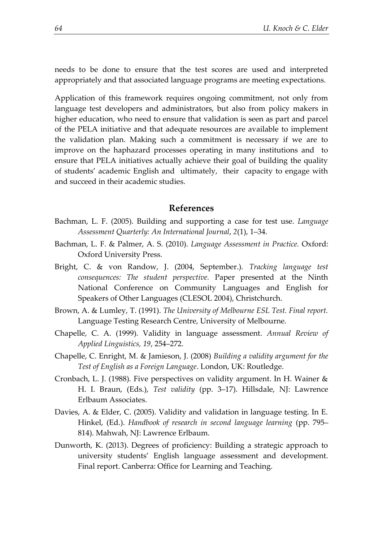needs to be done to ensure that the test scores are used and interpreted appropriately and that associated language programs are meeting expectations.

Application of this framework requires ongoing commitment, not only from language test developers and administrators, but also from policy makers in higher education, who need to ensure that validation is seen as part and parcel of the PELA initiative and that adequate resources are available to implement the validation plan. Making such a commitment is necessary if we are to improve on the haphazard processes operating in many institutions and to ensure that PELA initiatives actually achieve their goal of building the quality of students' academic English and ultimately, their capacity to engage with and succeed in their academic studies.

#### **References**

- Bachman, L. F. (2005). Building and supporting a case for test use. *Language Assessment Quarterly: An International Journal*, *2*(1), 1–34.
- Bachman, L. F. & Palmer, A. S. (2010). *Language Assessment in Practice.* Oxford: Oxford University Press.
- Bright, C. & von Randow, J. (2004, September.). *Tracking language test consequences: The student perspective.* Paper presented at the Ninth National Conference on Community Languages and English for Speakers of Other Languages (CLESOL 2004), Christchurch.
- Brown, A. & Lumley, T. (1991). *The University of Melbourne ESL Test. Final report.* Language Testing Research Centre, University of Melbourne.
- Chapelle, C. A. (1999). Validity in language assessment. *Annual Review of Applied Linguistics, 19*, 254–272.
- Chapelle, C. Enright, M. & Jamieson, J. (2008) *Building a validity argument for the Test of English as a Foreign Language*. London, UK: Routledge.
- Cronbach, L. J. (1988). Five perspectives on validity argument. In H. Wainer & H. I. Braun, (Eds.), *Test validity* (pp. 3–17). Hillsdale, NJ: Lawrence Erlbaum Associates.
- Davies, A. & Elder, C. (2005). Validity and validation in language testing. In E. Hinkel, (Ed.). *Handbook of research in second language learning* (pp. 795– 814). Mahwah, NJ: Lawrence Erlbaum.
- Dunworth, K. (2013). Degrees of proficiency: Building a strategic approach to university students' English language assessment and development. Final report. Canberra: Office for Learning and Teaching.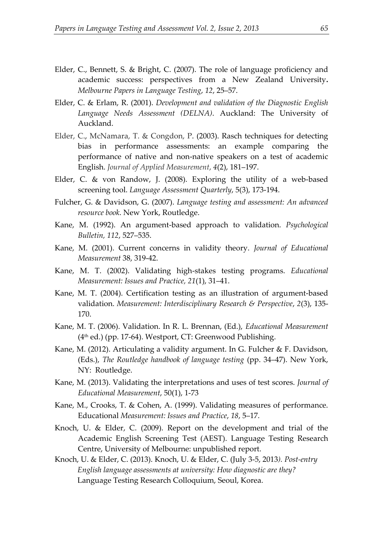- Elder, C., Bennett, S. & Bright, C. (2007). The role of language proficiency and academic success: perspectives from a New Zealand University**.**  *Melbourne Papers in Language Testing*, *12*, 25–57.
- Elder, C. & Erlam, R. (2001). *Development and validation of the Diagnostic English Language Needs Assessment (DELNA)*. Auckland: The University of Auckland.
- [Elder, C.](http://www.ncbi.nlm.nih.gov/pubmed?term=Elder%20C%5BAuthor%5D&cauthor=true&cauthor_uid=12748409), [McNamara, T.](http://www.ncbi.nlm.nih.gov/pubmed?term=McNamara%20T%5BAuthor%5D&cauthor=true&cauthor_uid=12748409) & [Congdon, P.](http://www.ncbi.nlm.nih.gov/pubmed?term=Congdon%20P%5BAuthor%5D&cauthor=true&cauthor_uid=12748409) (2003). Rasch techniques for detecting bias in performance assessments: an example comparing the performance of native and non-native speakers on a test of academic English. *Journal of Applied Measurement*, *4*(2), 181–197.
- Elder, C. & von Randow, J. (2008). Exploring the utility of a web-based screening tool. *Language Assessment Quarterly*, 5(3), 173-194.
- Fulcher, G. & Davidson, G. (2007). *Language testing and assessment: An advanced resource book*. New York, Routledge.
- Kane, M. (1992). An argument-based approach to validation. *Psychological Bulletin, 112*, 527–535.
- Kane, M. (2001). Current concerns in validity theory. *Journal of Educational Measurement* 38, 319-42.
- Kane, M. T. (2002). Validating high-stakes testing programs. *Educational Measurement: Issues and Practice, 21*(1), 31–41.
- Kane, M. T. (2004). Certification testing as an illustration of argument-based validation. *Measurement: Interdisciplinary Research & Perspective*, *2*(3), 135- 170.
- Kane, M. T. (2006). Validation. In R. L. Brennan, (Ed.), *Educational Measurement* (4th ed.) (pp. 17-64). Westport, CT: Greenwood Publishing.
- Kane, M. (2012). Articulating a validity argument. In G. Fulcher & F. Davidson, (Eds.), *The Routledge handbook of language testing* (pp. 34–47). New York, NY: Routledge.
- Kane, M. (2013). Validating the interpretations and uses of test scores. *Journal of Educational Measurement*, 50(1), 1-73
- Kane, M., Crooks, T. & Cohen, A. (1999). Validating measures of performance. Educational *Measurement: Issues and Practice*, *18*, 5–17.
- Knoch, U. & Elder, C. (2009). Report on the development and trial of the Academic English Screening Test (AEST). Language Testing Research Centre, University of Melbourne: unpublished report.
- Knoch, U. & Elder, C. (2013). Knoch, U. & Elder, C. (July 3-5, 2013*). Post-entry English language assessments at university: How diagnostic are they?* Language Testing Research Colloquium, Seoul, Korea.